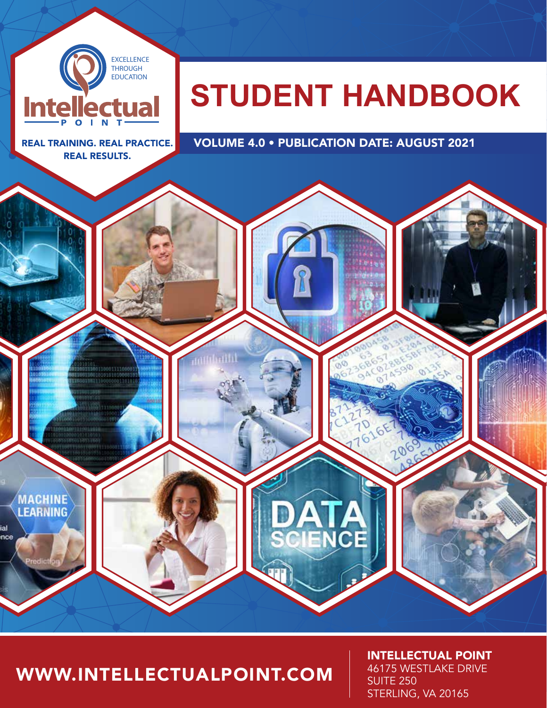

# WWW.INTELLECTUALPOINT.COM

1 WWW.INTEREST PRODUCTION CONTINUES IN A STERLECTUAL CONTINUES IN A STERLE INTELLECTUAL POINT 46175 WESTLAKE DRIVE **SUITE 250** STERLING, VA 20165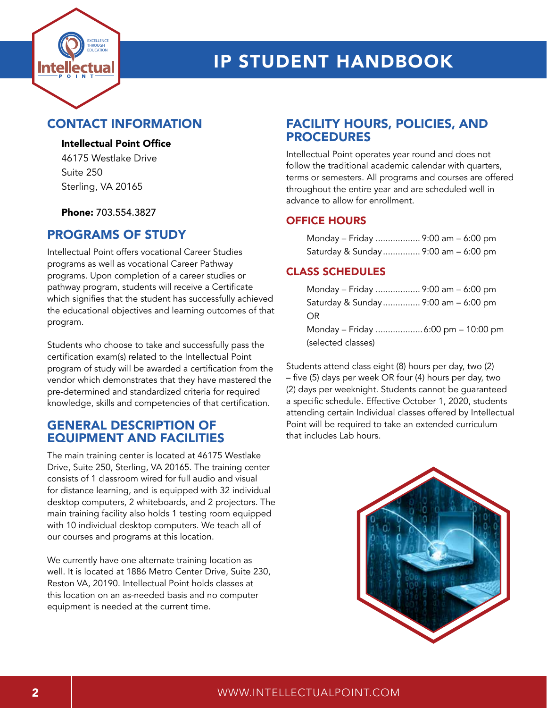

## CONTACT INFORMATION

#### Intellectual Point Office

46175 Westlake Drive Suite 250 Sterling, VA 20165

Phone: 703.554.3827

## PROGRAMS OF STUDY

Intellectual Point offers vocational Career Studies programs as well as vocational Career Pathway programs. Upon completion of a career studies or pathway program, students will receive a Certificate which signifies that the student has successfully achieved the educational objectives and learning outcomes of that program.

Students who choose to take and successfully pass the certification exam(s) related to the Intellectual Point program of study will be awarded a certification from the vendor which demonstrates that they have mastered the pre-determined and standardized criteria for required knowledge, skills and competencies of that certification.

#### GENERAL DESCRIPTION OF EQUIPMENT AND FACILITIES

The main training center is located at 46175 Westlake Drive, Suite 250, Sterling, VA 20165. The training center consists of 1 classroom wired for full audio and visual for distance learning, and is equipped with 32 individual desktop computers, 2 whiteboards, and 2 projectors. The main training facility also holds 1 testing room equipped with 10 individual desktop computers. We teach all of our courses and programs at this location.

We currently have one alternate training location as well. It is located at 1886 Metro Center Drive, Suite 230, Reston VA, 20190. Intellectual Point holds classes at this location on an as-needed basis and no computer equipment is needed at the current time.

## FACILITY HOURS, POLICIES, AND PROCEDURES

Intellectual Point operates year round and does not follow the traditional academic calendar with quarters, terms or semesters. All programs and courses are offered throughout the entire year and are scheduled well in advance to allow for enrollment.

#### OFFICE HOURS

| Monday - Friday  9:00 am - 6:00 pm  |  |  |
|-------------------------------------|--|--|
| Saturday & Sunday 9:00 am - 6:00 pm |  |  |

#### CLASS SCHEDULES

| Monday – Friday  9:00 am – 6:00 pm  |  |
|-------------------------------------|--|
| Saturday & Sunday 9:00 am - 6:00 pm |  |
| OR.                                 |  |
| Monday – Friday  6:00 pm – 10:00 pm |  |
| (selected classes)                  |  |

Students attend class eight (8) hours per day, two (2) – five (5) days per week OR four (4) hours per day, two (2) days per weeknight. Students cannot be guaranteed a specific schedule. Effective October 1, 2020, students attending certain Individual classes offered by Intellectual Point will be required to take an extended curriculum that includes Lab hours.



#### 2 WWW.INTELLECTUALPOINT.COM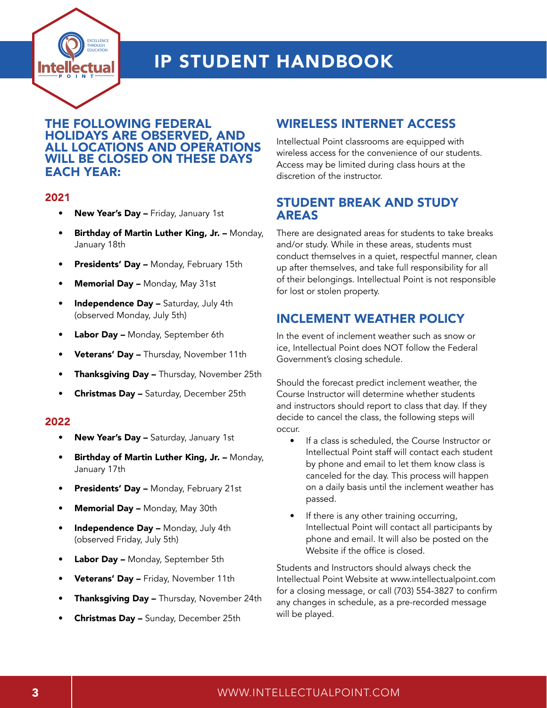

#### THE FOLLOWING FEDERAL HOLIDAYS ARE OBSERVED, AND ALL LOCATIONS AND OPERATIONS WILL BE CLOSED ON THESE DAYS EACH YEAR:

#### 2021

- New Year's Day Friday, January 1st
- Birthday of Martin Luther King, Jr. Monday, January 18th
- Presidents' Day Monday, February 15th
- Memorial Day Monday, May 31st
- Independence Day Saturday, July 4th (observed Monday, July 5th)
- Labor Day Monday, September 6th
- Veterans' Day Thursday, November 11th
- **Thanksgiving Day Thursday, November 25th**
- Christmas Day Saturday, December 25th

#### 2022

- New Year's Day Saturday, January 1st
- Birthday of Martin Luther King, Jr. Monday, January 17th
- Presidents' Day Monday, February 21st
- Memorial Day Monday, May 30th
- Independence Day Monday, July 4th (observed Friday, July 5th)
- Labor Day Monday, September 5th
- Veterans' Day Friday, November 11th
- Thanksgiving Day Thursday, November 24th
- Christmas Day Sunday, December 25th

# WIRELESS INTERNET ACCESS

Intellectual Point classrooms are equipped with wireless access for the convenience of our students. Access may be limited during class hours at the discretion of the instructor.

### STUDENT BREAK AND STUDY AREAS

There are designated areas for students to take breaks and/or study. While in these areas, students must conduct themselves in a quiet, respectful manner, clean up after themselves, and take full responsibility for all of their belongings. Intellectual Point is not responsible for lost or stolen property.

# INCLEMENT WEATHER POLICY

In the event of inclement weather such as snow or ice, Intellectual Point does NOT follow the Federal Government's closing schedule.

Should the forecast predict inclement weather, the Course Instructor will determine whether students and instructors should report to class that day. If they decide to cancel the class, the following steps will occur.

- If a class is scheduled, the Course Instructor or Intellectual Point staff will contact each student by phone and email to let them know class is canceled for the day. This process will happen on a daily basis until the inclement weather has passed.
- If there is any other training occurring, Intellectual Point will contact all participants by phone and email. It will also be posted on the Website if the office is closed.

Students and Instructors should always check the Intellectual Point Website at www.intellectualpoint.com for a closing message, or call (703) 554-3827 to confirm any changes in schedule, as a pre-recorded message will be played.

#### 3 WWW.INTELLECTUALPOINT.COM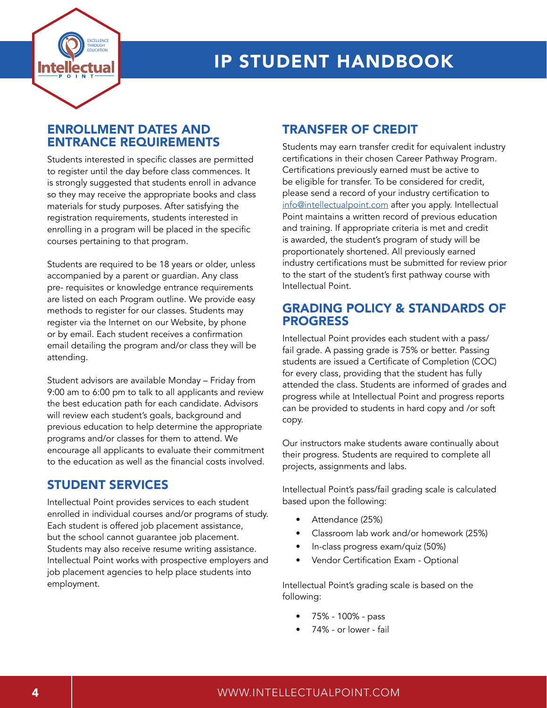

### ENROLLMENT DATES AND ENTRANCE REQUIREMENTS

Students interested in specific classes are permitted to register until the day before class commences. It is strongly suggested that students enroll in advance so they may receive the appropriate books and class materials for study purposes. After satisfying the registration requirements, students interested in enrolling in a program will be placed in the specific courses pertaining to that program.

Students are required to be 18 years or older, unless accompanied by a parent or guardian. Any class pre- requisites or knowledge entrance requirements are listed on each Program outline. We provide easy methods to register for our classes. Students may register via the Internet on our Website, by phone or by email. Each student receives a confirmation email detailing the program and/or class they will be attending.

Student advisors are available Monday – Friday from 9:00 am to 6:00 pm to talk to all applicants and review the best education path for each candidate. Advisors will review each student's goals, background and previous education to help determine the appropriate programs and/or classes for them to attend. We encourage all applicants to evaluate their commitment to the education as well as the financial costs involved.

### STUDENT SERVICES

Intellectual Point provides services to each student enrolled in individual courses and/or programs of study. Each student is offered job placement assistance, but the school cannot guarantee job placement. Students may also receive resume writing assistance. Intellectual Point works with prospective employers and job placement agencies to help place students into employment.

# TRANSFER OF CREDIT

Students may earn transfer credit for equivalent industry certifications in their chosen Career Pathway Program. Certifications previously earned must be active to be eligible for transfer. To be considered for credit, please send a record of your industry certification to [info@intellectualpoint.com](mailto:info%40intellectualpoint.com?subject=) after you apply. Intellectual Point maintains a written record of previous education and training. If appropriate criteria is met and credit is awarded, the student's program of study will be proportionately shortened. All previously earned industry certifications must be submitted for review prior to the start of the student's first pathway course with Intellectual Point.

### GRADING POLICY & STANDARDS OF PROGRESS

Intellectual Point provides each student with a pass/ fail grade. A passing grade is 75% or better. Passing students are issued a Certificate of Completion (COC) for every class, providing that the student has fully attended the class. Students are informed of grades and progress while at Intellectual Point and progress reports can be provided to students in hard copy and /or soft copy.

Our instructors make students aware continually about their progress. Students are required to complete all projects, assignments and labs.

Intellectual Point's pass/fail grading scale is calculated based upon the following:

- Attendance (25%)
- Classroom lab work and/or homework (25%)
- In-class progress exam/quiz (50%)
- Vendor Certification Exam Optional

Intellectual Point's grading scale is based on the following:

- 75% 100% pass
- 74% or lower fail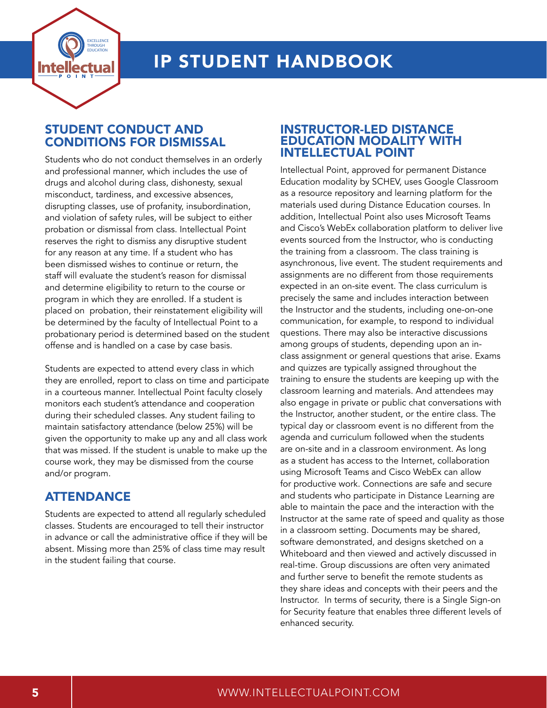

## STUDENT CONDUCT AND CONDITIONS FOR DISMISSAL

Students who do not conduct themselves in an orderly and professional manner, which includes the use of drugs and alcohol during class, dishonesty, sexual misconduct, tardiness, and excessive absences, disrupting classes, use of profanity, insubordination, and violation of safety rules, will be subject to either probation or dismissal from class. Intellectual Point reserves the right to dismiss any disruptive student for any reason at any time. If a student who has been dismissed wishes to continue or return, the staff will evaluate the student's reason for dismissal and determine eligibility to return to the course or program in which they are enrolled. If a student is placed on probation, their reinstatement eligibility will be determined by the faculty of Intellectual Point to a probationary period is determined based on the student offense and is handled on a case by case basis.

Students are expected to attend every class in which they are enrolled, report to class on time and participate in a courteous manner. Intellectual Point faculty closely monitors each student's attendance and cooperation during their scheduled classes. Any student failing to maintain satisfactory attendance (below 25%) will be given the opportunity to make up any and all class work that was missed. If the student is unable to make up the course work, they may be dismissed from the course and/or program.

### ATTENDANCE

Students are expected to attend all regularly scheduled classes. Students are encouraged to tell their instructor in advance or call the administrative office if they will be absent. Missing more than 25% of class time may result in the student failing that course.

#### INSTRUCTOR-LED DISTANCE EDUCATION MODALITY WITH INTELLECTUAL POINT

Intellectual Point, approved for permanent Distance Education modality by SCHEV, uses Google Classroom as a resource repository and learning platform for the materials used during Distance Education courses. In addition, Intellectual Point also uses Microsoft Teams and Cisco's WebEx collaboration platform to deliver live events sourced from the Instructor, who is conducting the training from a classroom. The class training is asynchronous, live event. The student requirements and assignments are no different from those requirements expected in an on-site event. The class curriculum is precisely the same and includes interaction between the Instructor and the students, including one-on-one communication, for example, to respond to individual questions. There may also be interactive discussions among groups of students, depending upon an inclass assignment or general questions that arise. Exams and quizzes are typically assigned throughout the training to ensure the students are keeping up with the classroom learning and materials. And attendees may also engage in private or public chat conversations with the Instructor, another student, or the entire class. The typical day or classroom event is no different from the agenda and curriculum followed when the students are on-site and in a classroom environment. As long as a student has access to the Internet, collaboration using Microsoft Teams and Cisco WebEx can allow for productive work. Connections are safe and secure and students who participate in Distance Learning are able to maintain the pace and the interaction with the Instructor at the same rate of speed and quality as those in a classroom setting. Documents may be shared, software demonstrated, and designs sketched on a Whiteboard and then viewed and actively discussed in real-time. Group discussions are often very animated and further serve to benefit the remote students as they share ideas and concepts with their peers and the Instructor. In terms of security, there is a Single Sign-on for Security feature that enables three different levels of enhanced security.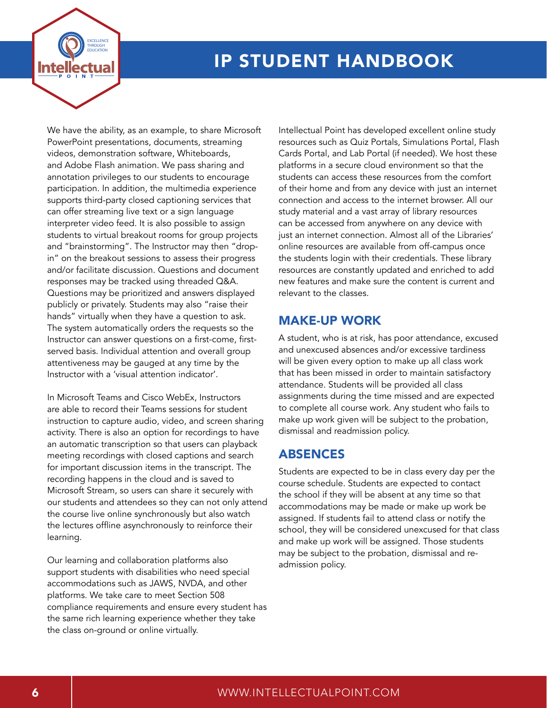

We have the ability, as an example, to share Microsoft PowerPoint presentations, documents, streaming videos, demonstration software, Whiteboards, and Adobe Flash animation. We pass sharing and annotation privileges to our students to encourage participation. In addition, the multimedia experience supports third-party closed captioning services that can offer streaming live text or a sign language interpreter video feed. It is also possible to assign students to virtual breakout rooms for group projects and "brainstorming". The Instructor may then "dropin" on the breakout sessions to assess their progress and/or facilitate discussion. Questions and document responses may be tracked using threaded Q&A. Questions may be prioritized and answers displayed publicly or privately. Students may also "raise their hands" virtually when they have a question to ask. The system automatically orders the requests so the Instructor can answer questions on a first-come, firstserved basis. Individual attention and overall group attentiveness may be gauged at any time by the Instructor with a 'visual attention indicator'.

In Microsoft Teams and Cisco WebEx, Instructors are able to record their Teams sessions for student instruction to capture audio, video, and screen sharing activity. There is also an option for recordings to have an automatic transcription so that users can playback meeting recordings with closed captions and search for important discussion items in the transcript. The recording happens in the cloud and is saved to Microsoft Stream, so users can share it securely with our students and attendees so they can not only attend the course live online synchronously but also watch the lectures offline asynchronously to reinforce their learning.

Our learning and collaboration platforms also support students with disabilities who need special accommodations such as JAWS, NVDA, and other platforms. We take care to meet Section 508 compliance requirements and ensure every student has the same rich learning experience whether they take the class on-ground or online virtually.

Intellectual Point has developed excellent online study resources such as Quiz Portals, Simulations Portal, Flash Cards Portal, and Lab Portal (if needed). We host these platforms in a secure cloud environment so that the students can access these resources from the comfort of their home and from any device with just an internet connection and access to the internet browser. All our study material and a vast array of library resources can be accessed from anywhere on any device with just an internet connection. Almost all of the Libraries' online resources are available from off-campus once the students login with their credentials. These library resources are constantly updated and enriched to add new features and make sure the content is current and relevant to the classes.

## MAKE-UP WORK

A student, who is at risk, has poor attendance, excused and unexcused absences and/or excessive tardiness will be given every option to make up all class work that has been missed in order to maintain satisfactory attendance. Students will be provided all class assignments during the time missed and are expected to complete all course work. Any student who fails to make up work given will be subject to the probation, dismissal and readmission policy.

### ABSENCES

Students are expected to be in class every day per the course schedule. Students are expected to contact the school if they will be absent at any time so that accommodations may be made or make up work be assigned. If students fail to attend class or notify the school, they will be considered unexcused for that class and make up work will be assigned. Those students may be subject to the probation, dismissal and readmission policy.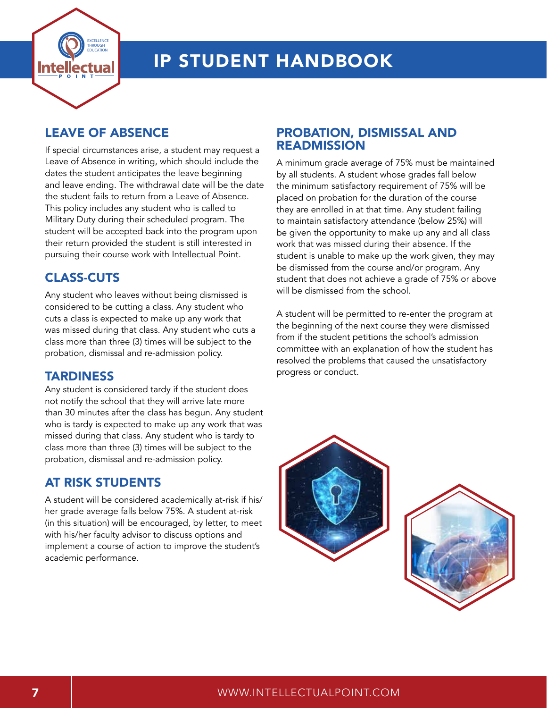

## LEAVE OF ABSENCE

If special circumstances arise, a student may request a Leave of Absence in writing, which should include the dates the student anticipates the leave beginning and leave ending. The withdrawal date will be the date the student fails to return from a Leave of Absence. This policy includes any student who is called to Military Duty during their scheduled program. The student will be accepted back into the program upon their return provided the student is still interested in pursuing their course work with Intellectual Point.

# CLASS-CUTS

Any student who leaves without being dismissed is considered to be cutting a class. Any student who cuts a class is expected to make up any work that was missed during that class. Any student who cuts a class more than three (3) times will be subject to the probation, dismissal and re-admission policy.

### **TARDINESS**

Any student is considered tardy if the student does not notify the school that they will arrive late more than 30 minutes after the class has begun. Any student who is tardy is expected to make up any work that was missed during that class. Any student who is tardy to class more than three (3) times will be subject to the probation, dismissal and re-admission policy.

## AT RISK STUDENTS

A student will be considered academically at-risk if his/ her grade average falls below 75%. A student at-risk (in this situation) will be encouraged, by letter, to meet with his/her faculty advisor to discuss options and implement a course of action to improve the student's academic performance.

#### PROBATION, DISMISSAL AND READMISSION

A minimum grade average of 75% must be maintained by all students. A student whose grades fall below the minimum satisfactory requirement of 75% will be placed on probation for the duration of the course they are enrolled in at that time. Any student failing to maintain satisfactory attendance (below 25%) will be given the opportunity to make up any and all class work that was missed during their absence. If the student is unable to make up the work given, they may be dismissed from the course and/or program. Any student that does not achieve a grade of 75% or above will be dismissed from the school.

A student will be permitted to re-enter the program at the beginning of the next course they were dismissed from if the student petitions the school's admission committee with an explanation of how the student has resolved the problems that caused the unsatisfactory progress or conduct.



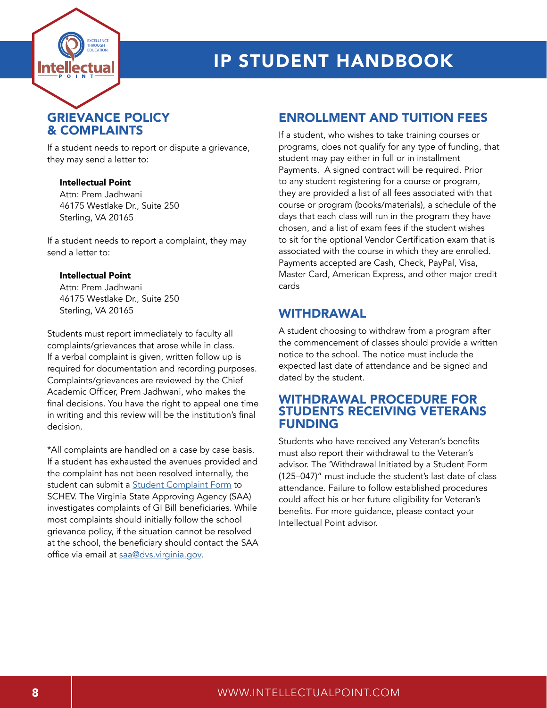

# GRIEVANCE POLICY & COMPLAINTS

If a student needs to report or dispute a grievance, they may send a letter to:

#### Intellectual Point

Attn: Prem Jadhwani 46175 Westlake Dr., Suite 250 Sterling, VA 20165

If a student needs to report a complaint, they may send a letter to:

#### Intellectual Point

Attn: Prem Jadhwani 46175 Westlake Dr., Suite 250 Sterling, VA 20165

Students must report immediately to faculty all complaints/grievances that arose while in class. If a verbal complaint is given, written follow up is required for documentation and recording purposes. Complaints/grievances are reviewed by the Chief Academic Officer, Prem Jadhwani, who makes the final decisions. You have the right to appeal one time in writing and this review will be the institution's final decision.

\*All complaints are handled on a case by case basis. If a student has exhausted the avenues provided and the complaint has not been resolved internally, the student can submit a **[Student Complaint Form](mailto:https://www.schev.edu/index/students-and-parents/resources/student-complaints?subject=)** to SCHEV. The Virginia State Approving Agency (SAA) investigates complaints of GI Bill beneficiaries. While most complaints should initially follow the school grievance policy, if the situation cannot be resolved at the school, the beneficiary should contact the SAA office via email at [saa@dvs.virginia.gov](mailto:saa%40dvs.virginia.gov?subject=).

### ENROLLMENT AND TUITION FEES

If a student, who wishes to take training courses or programs, does not qualify for any type of funding, that student may pay either in full or in installment Payments. A signed contract will be required. Prior to any student registering for a course or program, they are provided a list of all fees associated with that course or program (books/materials), a schedule of the days that each class will run in the program they have chosen, and a list of exam fees if the student wishes to sit for the optional Vendor Certification exam that is associated with the course in which they are enrolled. Payments accepted are Cash, Check, PayPal, Visa, Master Card, American Express, and other major credit cards

#### WITHDRAWAL

A student choosing to withdraw from a program after the commencement of classes should provide a written notice to the school. The notice must include the expected last date of attendance and be signed and dated by the student.

#### WITHDRAWAL PROCEDURE FOR STUDENTS RECEIVING VETERANS FUNDING

Students who have received any Veteran's benefits must also report their withdrawal to the Veteran's advisor. The 'Withdrawal Initiated by a Student Form (125–047)" must include the student's last date of class attendance. Failure to follow established procedures could affect his or her future eligibility for Veteran's benefits. For more guidance, please contact your Intellectual Point advisor.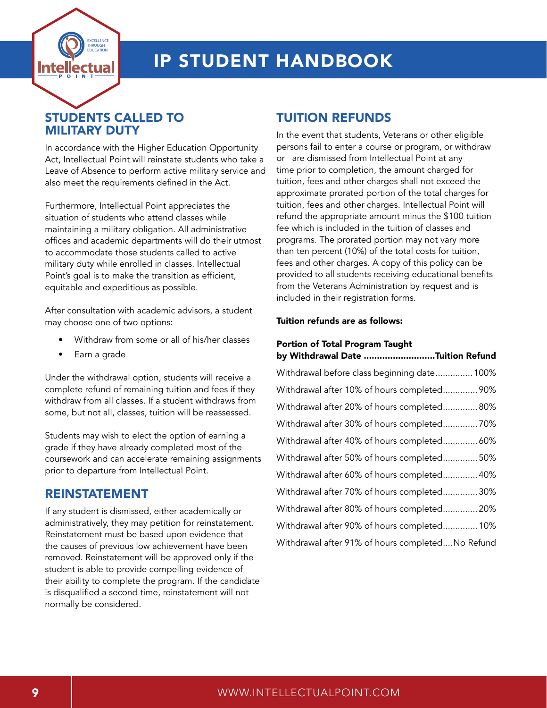

## STUDENTS CALLED TO MILITARY DUTY

In accordance with the Higher Education Opportunity Act, Intellectual Point will reinstate students who take a Leave of Absence to perform active military service and also meet the requirements defined in the Act.

Furthermore, Intellectual Point appreciates the situation of students who attend classes while maintaining a military obligation. All administrative offices and academic departments will do their utmost to accommodate those students called to active military duty while enrolled in classes. Intellectual Point's goal is to make the transition as efficient, equitable and expeditious as possible.

After consultation with academic advisors, a student may choose one of two options:

- Withdraw from some or all of his/her classes
- Earn a grade

Under the withdrawal option, students will receive a complete refund of remaining tuition and fees if they withdraw from all classes. If a student withdraws from some, but not all, classes, tuition will be reassessed.

Students may wish to elect the option of earning a grade if they have already completed most of the coursework and can accelerate remaining assignments prior to departure from Intellectual Point.

#### REINSTATEMENT

If any student is dismissed, either academically or administratively, they may petition for reinstatement. Reinstatement must be based upon evidence that the causes of previous low achievement have been removed. Reinstatement will be approved only if the student is able to provide compelling evidence of their ability to complete the program. If the candidate is disqualified a second time, reinstatement will not normally be considered.

### TUITION REFUNDS

In the event that students, Veterans or other eligible persons fail to enter a course or program, or withdraw or are dismissed from Intellectual Point at any time prior to completion, the amount charged for tuition, fees and other charges shall not exceed the approximate prorated portion of the total charges for tuition, fees and other charges. Intellectual Point will refund the appropriate amount minus the \$100 tuition fee which is included in the tuition of classes and programs. The prorated portion may not vary more than ten percent (10%) of the total costs for tuition, fees and other charges. A copy of this policy can be provided to all students receiving educational benefits from the Veterans Administration by request and is included in their registration forms.

#### Tuition refunds are as follows:

# Portion of Total Program Taught

| by Withdrawal Date Tuition Refund                |
|--------------------------------------------------|
| Withdrawal before class beginning date 100%      |
| Withdrawal after 10% of hours completed 90%      |
| Withdrawal after 20% of hours completed 80%      |
| Withdrawal after 30% of hours completed70%       |
| Withdrawal after 40% of hours completed 60%      |
| Withdrawal after 50% of hours completed 50%      |
| Withdrawal after 60% of hours completed 40%      |
| Withdrawal after 70% of hours completed30%       |
| Withdrawal after 80% of hours completed 20%      |
| Withdrawal after 90% of hours completed 10%      |
| Withdrawal after 91% of hours completedNo Refund |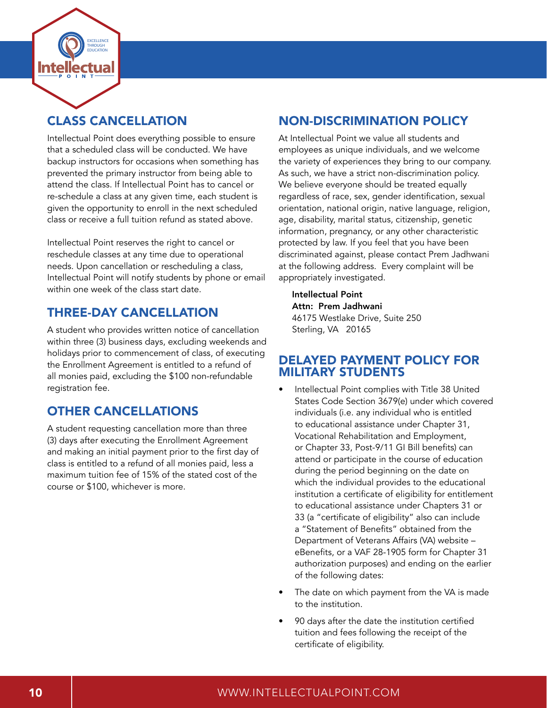

# CLASS CANCELLATION

Intellectual Point does everything possible to ensure that a scheduled class will be conducted. We have backup instructors for occasions when something has prevented the primary instructor from being able to attend the class. If Intellectual Point has to cancel or re-schedule a class at any given time, each student is given the opportunity to enroll in the next scheduled class or receive a full tuition refund as stated above.

Intellectual Point reserves the right to cancel or reschedule classes at any time due to operational needs. Upon cancellation or rescheduling a class, Intellectual Point will notify students by phone or email within one week of the class start date.

## THREE-DAY CANCELLATION

A student who provides written notice of cancellation within three (3) business days, excluding weekends and holidays prior to commencement of class, of executing the Enrollment Agreement is entitled to a refund of all monies paid, excluding the \$100 non-refundable registration fee.

# OTHER CANCELLATIONS

A student requesting cancellation more than three (3) days after executing the Enrollment Agreement and making an initial payment prior to the first day of class is entitled to a refund of all monies paid, less a maximum tuition fee of 15% of the stated cost of the course or \$100, whichever is more.

# NON-DISCRIMINATION POLICY

At Intellectual Point we value all students and employees as unique individuals, and we welcome the variety of experiences they bring to our company. As such, we have a strict non-discrimination policy. We believe everyone should be treated equally regardless of race, sex, gender identification, sexual orientation, national origin, native language, religion, age, disability, marital status, citizenship, genetic information, pregnancy, or any other characteristic protected by law. If you feel that you have been discriminated against, please contact Prem Jadhwani at the following address. Every complaint will be appropriately investigated.

Intellectual Point Attn: Prem Jadhwani 46175 Westlake Drive, Suite 250 Sterling, VA 20165

#### DELAYED PAYMENT POLICY FOR MILITARY STUDENTS

- Intellectual Point complies with Title 38 United States Code Section 3679(e) under which covered individuals (i.e. any individual who is entitled to educational assistance under Chapter 31, Vocational Rehabilitation and Employment, or Chapter 33, Post-9/11 GI Bill benefits) can attend or participate in the course of education during the period beginning on the date on which the individual provides to the educational institution a certificate of eligibility for entitlement to educational assistance under Chapters 31 or 33 (a "certificate of eligibility" also can include a "Statement of Benefits" obtained from the Department of Veterans Affairs (VA) website – eBenefits, or a VAF 28-1905 form for Chapter 31 authorization purposes) and ending on the earlier of the following dates:
- The date on which payment from the VA is made to the institution.
- 90 days after the date the institution certified tuition and fees following the receipt of the certificate of eligibility.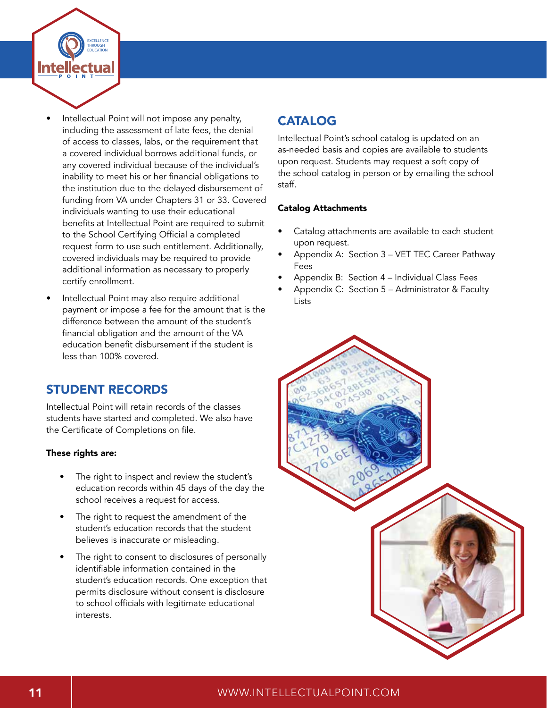

- Intellectual Point will not impose any penalty, including the assessment of late fees, the denial of access to classes, labs, or the requirement that a covered individual borrows additional funds, or any covered individual because of the individual's inability to meet his or her financial obligations to the institution due to the delayed disbursement of funding from VA under Chapters 31 or 33. Covered individuals wanting to use their educational benefits at Intellectual Point are required to submit to the School Certifying Official a completed request form to use such entitlement. Additionally, covered individuals may be required to provide additional information as necessary to properly certify enrollment.
- Intellectual Point may also require additional payment or impose a fee for the amount that is the difference between the amount of the student's financial obligation and the amount of the VA education benefit disbursement if the student is less than 100% covered.

## STUDENT RECORDS

Intellectual Point will retain records of the classes students have started and completed. We also have the Certificate of Completions on file.

#### These rights are:

- The right to inspect and review the student's education records within 45 days of the day the school receives a request for access.
- The right to request the amendment of the student's education records that the student believes is inaccurate or misleading.
- The right to consent to disclosures of personally identifiable information contained in the student's education records. One exception that permits disclosure without consent is disclosure to school officials with legitimate educational interests.

# CATALOG

Intellectual Point's school catalog is updated on an as-needed basis and copies are available to students upon request. Students may request a soft copy of the school catalog in person or by emailing the school staff.

#### Catalog Attachments

- Catalog attachments are available to each student upon request.
- Appendix A: Section 3 VET TEC Career Pathway Fees
- Appendix B: Section 4 Individual Class Fees
- Appendix C: Section 5 Administrator & Faculty Lists



#### 11 WWW.INTELLECTUALPOINT.COM